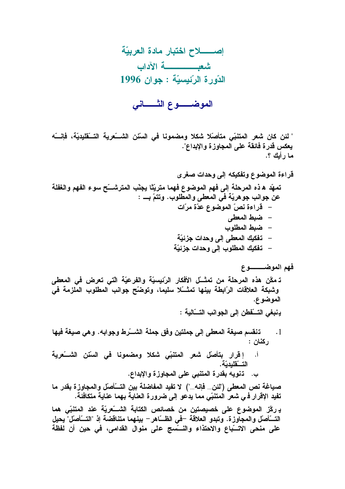الموضـــوع الثــــاني

" لئن كان شعر المتنبّي متأصّلا شكلا ومضمونا في السّنن الشــــّعرية التـــقليديّة، فإنــــّه يعكس قدرة فائقة على المجاوزة والإبداع". ما رأيك ؟.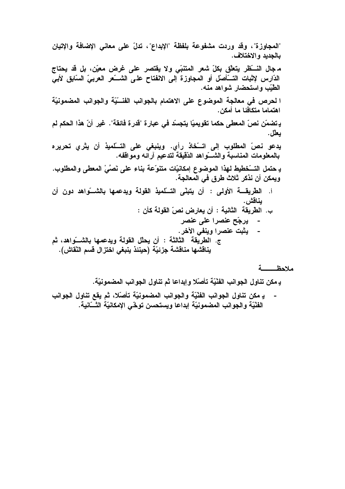"المجاوزة"، وقد وردت مشفوعة بلفظة "الإبداع"، تدلّ على معاني الإضافة والإتيان بالجديد والاختلاف. مـ جال النـــــَظر يتعلّق بكلّ شعر المتنبّى ولا يقتصر على غرض معيّن، بل قد يحتاج الدّارس لإثبات التـــَأصلّ أو المجاوزة إلى الالفتاح على الشــــّعر العربيّ السّابق لأبي الطَّيِّبِ واستحضار شواهد منه. ا لحرص في معالجة الموضوع على الاهتمام بالجوانب الفنسيّة والجوانب المضمونيّة اهتماما متكافئا ما أمكن. يـ تضمّن نصّ المعطى حكما تقويميّا يتجسّد في عبارة "قدرة فائقة". غير أنّ هذا الحكم لم بعلل. يدعو نصّ المطلوب إلى اتــــَخاذ رأي. وينبغي على التـــلميذ أن يثري تحريره بالمعلومات المناسبة والشـــواهد الدّقيقة لتدعيم آرائـه ومواففه. ويمكن أن نذكر ثلاث طرق في المعالجة. أ. الطَّريقة الأولى : أن يتبنَّى التَّسَّلميذ القولة ويدعمها بالشَّسَّواهد دون أن ىناقش . ب. الطريقة الثانية : أن يعارض نصّ القولة كأن : - يرجّح عنصرا على عنصر - يثبت عنصرا وينفي الآخر . ج. الطريقة الثالثة : أن يحلّل القولة ويدعمها بالشـــواهد، ثم يناقشها مناقشة جزئيّة (حينئذ ينبغي اختزال قسم النّقاش).

## 

يـ مكن تنـاول الـجوانب الفنْيّة تـأصّلا وإبداعا ثم تنـاول الـجوانب المضمونيّة.

يـ مكن تناول الجوانب الفَنْيَة والجوانب المضمونيّة تأصّلا، ثم يقع تناول الجوانب الفَنْيَة والجوانب المضمونيّة إبداعا ويستحسن توخّى الإمكانيّة الثّـــّانية.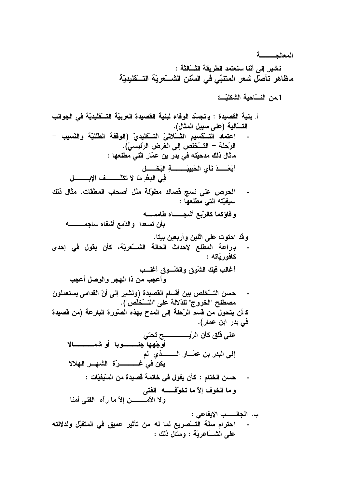المعالجسسة نشير إلى أنّنا سنعتمد الطريقة الثّـــالثة : مظاهر تأصلّ شعر المتنبّي في السّنن الشـــــّعريّـة التـــقليديّـة 1.من النسّاحية الشكليّـــة أ. بنية القصيدة : يـ تجسّد الوفاء لبنية القصيدة العربيّة التــــقليديّة في الجوانب التـــَالية (على سبيل المثال). اعتماد التَّــقسيم التَّــلاتْيِّ التَّــقليديّ (الوقفة الطِّلليّة والنِّسيب – الرّحلة – التّـــخلص إلى الغرض الرّئيسيّ). مثال ذلك مدحيّته في بدر بن عمّار الّتي مطلعها : أبَعْسِدَ نَأْى الْحَبِيبَـــــة البَحْسَسل في البعْد مَا لاَ تكلَّـــــف الابـــــــــل الحرص على نسج فصائد مطوّلة مثل أصحاب المعلّقات. مثال ذلك  $\blacksquare$ سيفيّته التي مطلعها : و فاؤكما كالرّبع أشجــــــاه طامســـه بأن تسعدا والدّمع أشفاه ساجمــــــــه وقد احتوت على اثنين وأربعين بيتا. برراعة المطلع لإحداث الحالة الشــــّعريّة، كأن يقول في إحدى كافوريّاته : أغالب فيك الشّوق والشّـوق أغلــب وأعجب من ذا الهجر والوصل أعجب حسن التــــَخلص بين أقسام القصيدة (ونشير إلى أنّ القدامي يستعملون مصطلح "الخروج" للدّلالة على "التسّخُلُص"). كـ أن يتحول من قسم الرّحلة إلى المدح بهذه الصّورة البارعة (من قصيدة في بدر ابن عمار). أوجّهها جنسســــوبا أو شمــــــــــالا إلى البدر بن عمّـــار الـــــــــذي لم يكن في غــــــــــــرّة الشهـــر الـهلالا حسن الختام : كأن يقول في خاتمة قصيدة من السّيفيّات : و ما الخوف إلاّ ما تخوّفْــــــــه الفتى ولا الأمـــــــــن إلاّ ما رآه الفتـى أمنـا ب. الجانـــــب الإيقاعي : احترام سنّة التـــــّصريع لما له من تأثير عميق في المتقبّل ولدلالته على الشَّـــاعريّة : ومثَّال ذلك :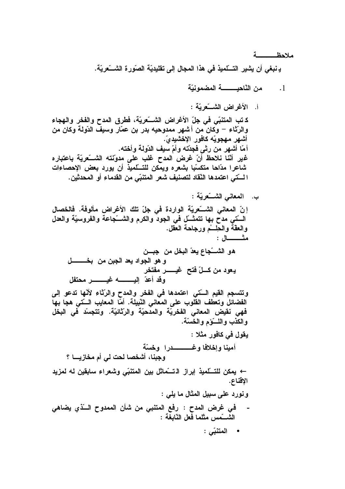ملاحظ يـ نبغي أن يشير التـــلميذ في هذا المجال إلى تقليديّة الصّورة الشــــّعريّة.

← يمكن للتسلّميذ إبراز الـتـــماثل بين المتنبّي وشعراء سابقين له لمزيد الإقناع. ونورد على سبيل المثال ما يلي :

$$
\bullet \quad \text{that} \quad \bullet
$$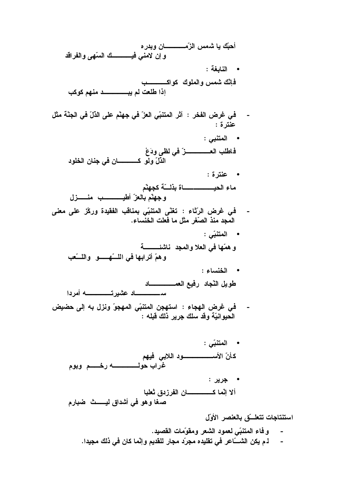استنتاجات تتعلسّق بالعنصر الأول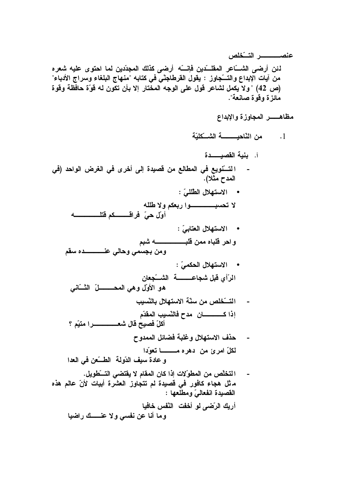لئن أرضى الشَّـــاعر المقلـــدين فإنـــــه أرضى كذلك المجدّدين لما احتوى عليه شعره من آيات الإبداع والتـــّجاوز : يقول القرطاجنّي في كتابه "منهاج البلغاء وسراج الأدباء" (ص 42) "ولا يكمل لشاعر قول على الوجه المختار إلا بأن تكون له قوّة حافظة وقوة مائزة وقوة صانعة".

أ. بنية القصيــــدة التستُّويع في المطالع من قصيدة إلى أخرى في الغرض الواحد (في المدح مثلا). • الاستهلال الطِّلليّ : أول حيّ فراقـــــــــــكم فتلــــ • الاستهلال العتابيّ : و احر قلباه ممن قلبــــــــــــــــه شبم ومن بجسمي وحالي عنصصصده سقم • الاستهلال الحكميّ: الرَّأِي قَبِلٍ شَجاعـــــــــة الشّـــّجعان هو الأولّ وهي المحـــــــــــلّ الثــــّـانــى التسّخلص من سنّة الاستهلال بالنّسبب حذف الاستهلال وغلبة فضائل الممدوح لكلّ امرئ من دهره مــــــا تعوّدا و عادة سيف الدّولة الطسّعن في العدا التخلُّص من المطوِّلات إذا كان المقام لا يقتضى التسطويل.  $\blacksquare$ ماثل هجاء كافور في فصيدة لم تتجاوز العشرة أبيات لأنّ عالم هذه القصيدة انفعالىّ ومطلعها : أريك الرّضي لو أخفت النّفس خافيا

وما أنا عن نفسي ولا عنــــك راضيا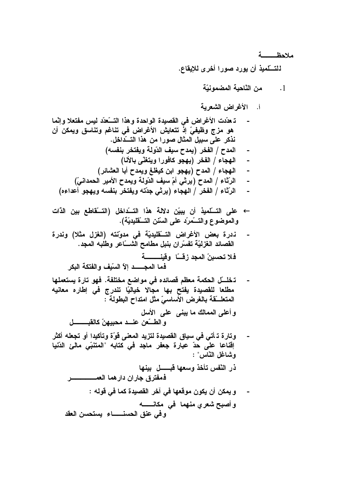ملاحظه

للتسلّميذ أن يورد صورا أخرى للايقاع.

- من النّاحية المضمونيّة  $\cdot$ .1
- أ. الأغراض الشعربة
- تـ عدّدت الأغراض في القصيدة الواحدة وهذا التـــّعدّد ليس مفتعلا وإنّما هو مزج وظيفيّ إذ تتعايش الأغراض في تناغم وتناسق ويمكن أن نذكر على سبيل المثال صورا من هذا التــداخل. المدح / الفخر (يمدح سيف الدّولة ويفتخر بنفسه) الهجاء / الفخر (يهجو كافورا ويتغنّى بالأنا) الهجاء / المدح (يهجو ابن كيغلغ ويمدح أبا العشائر) الرِّثَاءِ / المدح (يرثي أمّ سيف الدّولة ويمدح الأمير الحمدانيّ) الرِّثَاءِ / الفخر / الهجاء (يرثى جدّته ويفتخر بنفسه ويهجو أعداءه) ← على التسلّميذ أن يبيّن دلالة هذا التسّداخل (التسّقاطع بين الذّات والموضوع والتسَّمرِّد على السِّنن التسَّقليديَّة). ندرة بعض الأغراض التَّقليديّة في مدوّنته (الغزل مثلا) وندرة القصائد الغزليّة تفسّران بنبل مطامح الشّـــّاعر وطلبه المجد. فلا تحسبنّ المجد زقَّــّا ۖ وقينـــــــــة فها المجسسد إلآ السّيف والفتكة البكر تـخلــــّل الـحكمـة معظم قصائده في مواضـع مختلفة. فهو تارة يستعملها مطلعا للقصيدة يفتح بها مجالا خياليًا تندرج في إطاره معانيه المتعلَّــقة بالغرض الأساسيّ مثل امتداح البطولة ۖ : وأعلى الممالك ما يبني على الأسل و الطــــّعن عنــــد محبيـهنّ كـالقبـــــــــــل وتارة تـ أتى في سياق القصيدة لتزيد المعنى قوّة وتأكيدا أو تجعله أكثر اِقْناعا على حدّ عبارة جعفر ماجد في كتابه "المتنبّى مالئ الدّنيا وشاغل النّاس" : ذر النّفس تأخذ وسعها قبـــــل بينها و يمكن أن يكون موقعها في آخر القصيدة كما في قوله : و أصبح شعري منهما ً في مكانـــــــه
	- وفى عنق الحسنــــاء يستحسن العقد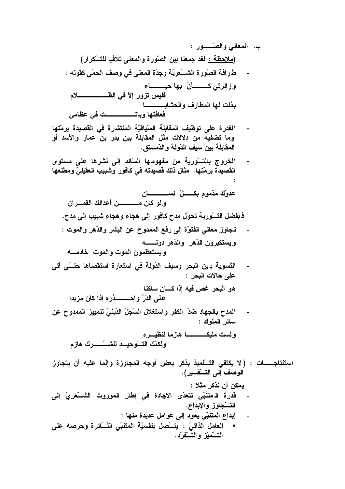- القدرة على توظيف المقابلة السّياقيّة المنتشرة في القصيدة برمّتها  $\sim$ وما تضفيه من دلالات مثل المقابلة بين بدر بن عمار والأسد أو المقابلة بين سيف الدّولة والدّمستق.
- الخروج بالتـــورية من مفهومـها السّائد إلى نشرها على مستوى  $\sim$   $\sim$ القصيدة برمّتها. مثال ذلك فصيدته في كافور وشبيب العقيليّ ومطلعها  $\cdot$

- تجاوز معاني الفتوّة إلى رفع الممدوح عن البشر والدّهر والموت :  $\overline{\phantom{a}}$ ويستكبرون الدّهر والدّهر دونـــــــه ويستعظمون الموت والموت خادمسه
- التَّسوية بـ ين البحر وسيف الدّولة في استعارة استقصاها حتـــّى أتى  $\overline{\phantom{a}}$ على حالات البحر : هو البحر غص فيه إذا كسان ساكنا على الدّرّ واحسب فرده اذا كان مزيدا

 $\blacksquare$